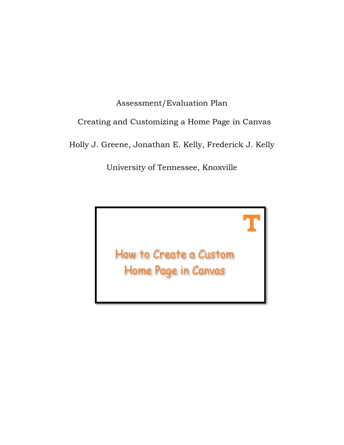# Assessment/Evaluation Plan Creating and Customizing a Home Page in Canvas Holly J. Greene, Jonathan E. Kelly, Frederick J. Kelly

University of Tennessee, Knoxville

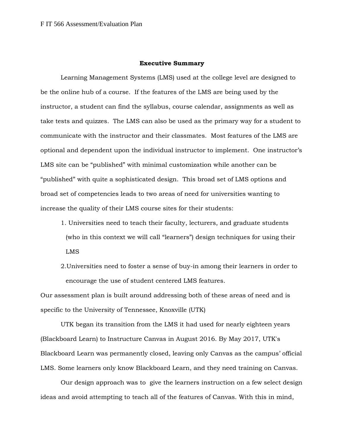## **Executive Summary**

Learning Management Systems (LMS) used at the college level are designed to be the online hub of a course. If the features of the LMS are being used by the instructor, a student can find the syllabus, course calendar, assignments as well as take tests and quizzes. The LMS can also be used as the primary way for a student to communicate with the instructor and their classmates. Most features of the LMS are optional and dependent upon the individual instructor to implement. One instructor's LMS site can be "published" with minimal customization while another can be "published" with quite a sophisticated design. This broad set of LMS options and broad set of competencies leads to two areas of need for universities wanting to increase the quality of their LMS course sites for their students:

- 1. Universities need to teach their faculty, lecturers, and graduate students (who in this context we will call "learners") design techniques for using their LMS
- 2.Universities need to foster a sense of buy-in among their learners in order to encourage the use of student centered LMS features.

Our assessment plan is built around addressing both of these areas of need and is specific to the University of Tennessee, Knoxville (UTK)

UTK began its transition from the LMS it had used for nearly eighteen years (Blackboard Learn) to Instructure Canvas in August 2016. By May 2017, UTK's Blackboard Learn was permanently closed, leaving only Canvas as the campus' official LMS. Some learners only know Blackboard Learn, and they need training on Canvas.

Our design approach was to give the learners instruction on a few select design ideas and avoid attempting to teach all of the features of Canvas. With this in mind,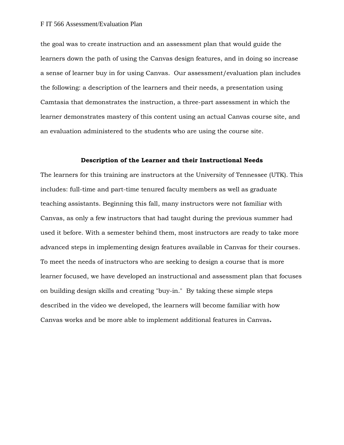the goal was to create instruction and an assessment plan that would guide the learners down the path of using the Canvas design features, and in doing so increase a sense of learner buy in for using Canvas. Our assessment/evaluation plan includes the following: a description of the learners and their needs, a presentation using Camtasia that demonstrates the instruction, a three-part assessment in which the learner demonstrates mastery of this content using an actual Canvas course site, and an evaluation administered to the students who are using the course site.

#### **Description of the Learner and their Instructional Needs**

The learners for this training are instructors at the University of Tennessee (UTK). This includes: full-time and part-time tenured faculty members as well as graduate teaching assistants. Beginning this fall, many instructors were not familiar with Canvas, as only a few instructors that had taught during the previous summer had used it before. With a semester behind them, most instructors are ready to take more advanced steps in implementing design features available in Canvas for their courses. To meet the needs of instructors who are seeking to design a course that is more learner focused, we have developed an instructional and assessment plan that focuses on building design skills and creating "buy-in." By taking these simple steps described in the video we developed, the learners will become familiar with how Canvas works and be more able to implement additional features in Canvas**.**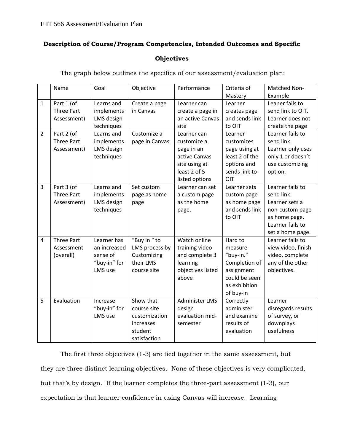## **Description of Course/Program Competencies, Intended Outcomes and Specific**

## **Objectives**

The graph below outlines the specifics of our assessment/evaluation plan:

|                | Name                                           | Goal                                                               | Objective                                                                         | Performance                                                                                                  | Criteria of<br>Mastery                                                                                        | Matched Non-<br>Example                                                                                                      |
|----------------|------------------------------------------------|--------------------------------------------------------------------|-----------------------------------------------------------------------------------|--------------------------------------------------------------------------------------------------------------|---------------------------------------------------------------------------------------------------------------|------------------------------------------------------------------------------------------------------------------------------|
| $\mathbf 1$    | Part 1 (of<br><b>Three Part</b><br>Assessment) | Learns and<br>implements<br>LMS design<br>techniques               | Create a page<br>in Canvas                                                        | Learner can<br>create a page in<br>an active Canvas<br>site                                                  | Learner<br>creates page<br>and sends link<br>to OIT                                                           | Leaner fails to<br>send link to OIT.<br>Learner does not<br>create the page                                                  |
| $\overline{2}$ | Part 2 (of<br><b>Three Part</b><br>Assessment) | Learns and<br>implements<br>LMS design<br>techniques               | Customize a<br>page in Canvas                                                     | Learner can<br>customize a<br>page in an<br>active Canvas<br>site using at<br>least 2 of 5<br>listed options | Learner<br>customizes<br>page using at<br>least 2 of the<br>options and<br>sends link to<br>OIT               | Learner fails to<br>send link.<br>Learner only uses<br>only 1 or doesn't<br>use customizing<br>option.                       |
| $\overline{3}$ | Part 3 (of<br><b>Three Part</b><br>Assessment) | Learns and<br>implements<br>LMS design<br>techniques               | Set custom<br>page as home<br>page                                                | Learner can set<br>a custom page<br>as the home<br>page.                                                     | Learner sets<br>custom page<br>as home page<br>and sends link<br>to OIT                                       | Learner fails to<br>send link.<br>Learner sets a<br>non-custom page<br>as home page.<br>Learner fails to<br>set a home page. |
| $\overline{4}$ | <b>Three Part</b><br>Assessment<br>(overall)   | Learner has<br>an increased<br>sense of<br>"buy-in" for<br>LMS use | "Buy in "to<br>LMS process by<br>Customizing<br>their LMS<br>course site          | Watch online<br>training video<br>and complete 3<br>learning<br>objectives listed<br>above                   | Hard to<br>measure<br>"buy-in."<br>Completion of<br>assignment<br>could be seen<br>as exhibition<br>of buy-in | Learner fails to<br>view video, finish<br>video, complete<br>any of the other<br>objectives.                                 |
| 5              | Evaluation                                     | Increase<br>"buy-in" for<br>LMS use                                | Show that<br>course site<br>customization<br>increases<br>student<br>satisfaction | <b>Administer LMS</b><br>design<br>evaluation mid-<br>semester                                               | Correctly<br>administer<br>and examine<br>results of<br>evaluation                                            | Learner<br>disregards results<br>of survey, or<br>downplays<br>usefulness                                                    |

The first three objectives (1-3) are tied together in the same assessment, but they are three distinct learning objectives. None of these objectives is very complicated, but that's by design. If the learner completes the three-part assessment (1-3), our expectation is that learner confidence in using Canvas will increase. Learning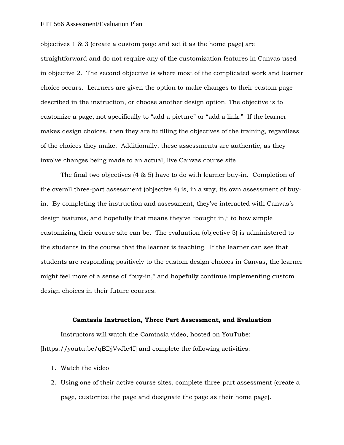### F IT 566 Assessment/Evaluation Plan

objectives 1 & 3 (create a custom page and set it as the home page) are straightforward and do not require any of the customization features in Canvas used in objective 2. The second objective is where most of the complicated work and learner choice occurs. Learners are given the option to make changes to their custom page described in the instruction, or choose another design option. The objective is to customize a page, not specifically to "add a picture" or "add a link." If the learner makes design choices, then they are fulfilling the objectives of the training, regardless of the choices they make. Additionally, these assessments are authentic, as they involve changes being made to an actual, live Canvas course site.

The final two objectives (4 & 5) have to do with learner buy-in. Completion of the overall three-part assessment (objective 4) is, in a way, its own assessment of buyin. By completing the instruction and assessment, they've interacted with Canvas's design features, and hopefully that means they've "bought in," to how simple customizing their course site can be. The evaluation (objective 5) is administered to the students in the course that the learner is teaching. If the learner can see that students are responding positively to the custom design choices in Canvas, the learner might feel more of a sense of "buy-in," and hopefully continue implementing custom design choices in their future courses.

#### **Camtasia Instruction, Three Part Assessment, and Evaluation**

Instructors will watch the Camtasia video, hosted on YouTube: [https://youtu.be/qBDjVvJlc4I] and complete the following activities:

- 1. Watch the video
- 2. Using one of their active course sites, complete three-part assessment (create a page, customize the page and designate the page as their home page).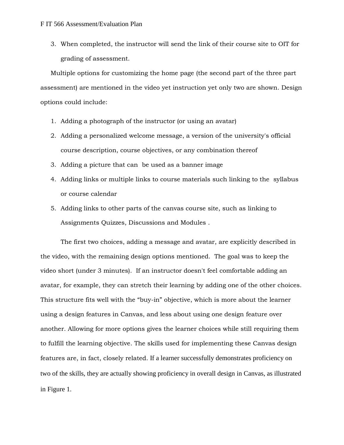3. When completed, the instructor will send the link of their course site to OIT for grading of assessment.

Multiple options for customizing the home page (the second part of the three part assessment) are mentioned in the video yet instruction yet only two are shown. Design options could include:

- 1. Adding a photograph of the instructor (or using an avatar)
- 2. Adding a personalized welcome message, a version of the university's official course description, course objectives, or any combination thereof
- 3. Adding a picture that can be used as a banner image
- 4. Adding links or multiple links to course materials such linking to the syllabus or course calendar
- 5. Adding links to other parts of the canvas course site, such as linking to Assignments Quizzes, Discussions and Modules .

The first two choices, adding a message and avatar, are explicitly described in the video, with the remaining design options mentioned. The goal was to keep the video short (under 3 minutes). If an instructor doesn't feel comfortable adding an avatar, for example, they can stretch their learning by adding one of the other choices. This structure fits well with the "buy-in" objective, which is more about the learner using a design features in Canvas, and less about using one design feature over another. Allowing for more options gives the learner choices while still requiring them to fulfill the learning objective. The skills used for implementing these Canvas design features are, in fact, closely related. If a learner successfully demonstrates proficiency on two of the skills, they are actually showing proficiency in overall design in Canvas, as illustrated in Figure 1.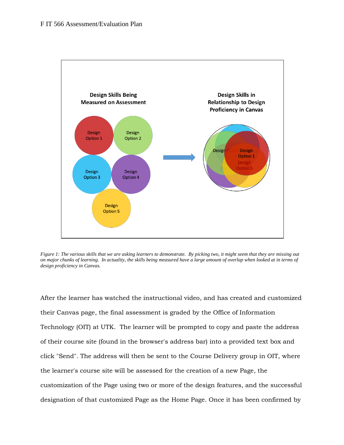

*Figure 1: The various skills that we are asking learners to demonstrate. By picking two, it might seem that they are missing out on major chunks of learning. In actuality, the skills being measured have a large amount of overlap when looked at in terms of design proficiency in Canvas.* 

After the learner has watched the instructional video, and has created and customized their Canvas page, the final assessment is graded by the Office of Information Technology (OIT) at UTK. The learner will be prompted to copy and paste the address of their course site (found in the browser's address bar) into a provided text box and click "Send". The address will then be sent to the Course Delivery group in OIT, where the learner's course site will be assessed for the creation of a new Page, the customization of the Page using two or more of the design features, and the successful designation of that customized Page as the Home Page. Once it has been confirmed by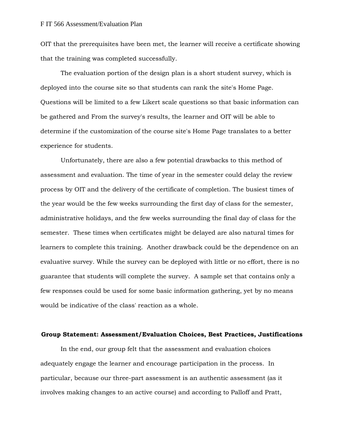OIT that the prerequisites have been met, the learner will receive a certificate showing that the training was completed successfully.

The evaluation portion of the design plan is a short student survey, which is deployed into the course site so that students can rank the site's Home Page. Questions will be limited to a few Likert scale questions so that basic information can be gathered and From the survey's results, the learner and OIT will be able to determine if the customization of the course site's Home Page translates to a better experience for students.

Unfortunately, there are also a few potential drawbacks to this method of assessment and evaluation. The time of year in the semester could delay the review process by OIT and the delivery of the certificate of completion. The busiest times of the year would be the few weeks surrounding the first day of class for the semester, administrative holidays, and the few weeks surrounding the final day of class for the semester. These times when certificates might be delayed are also natural times for learners to complete this training. Another drawback could be the dependence on an evaluative survey. While the survey can be deployed with little or no effort, there is no guarantee that students will complete the survey. A sample set that contains only a few responses could be used for some basic information gathering, yet by no means would be indicative of the class' reaction as a whole.

## **Group Statement: Assessment/Evaluation Choices, Best Practices, Justifications**

In the end, our group felt that the assessment and evaluation choices adequately engage the learner and encourage participation in the process. In particular, because our three-part assessment is an authentic assessment (as it involves making changes to an active course) and according to Palloff and Pratt,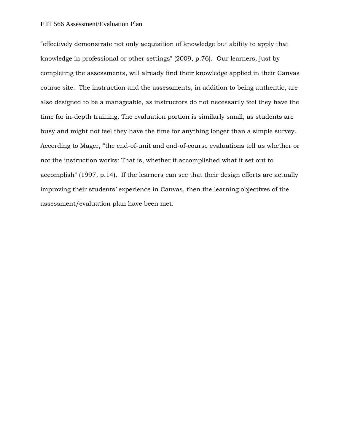"effectively demonstrate not only acquisition of knowledge but ability to apply that knowledge in professional or other settings" (2009, p.76). Our learners, just by completing the assessments, will already find their knowledge applied in their Canvas course site. The instruction and the assessments, in addition to being authentic, are also designed to be a manageable, as instructors do not necessarily feel they have the time for in-depth training. The evaluation portion is similarly small, as students are busy and might not feel they have the time for anything longer than a simple survey. According to Mager, "the end-of-unit and end-of-course evaluations tell us whether or not the instruction works: That is, whether it accomplished what it set out to accomplish" (1997, p.14). If the learners can see that their design efforts are actually improving their students' experience in Canvas, then the learning objectives of the assessment/evaluation plan have been met.